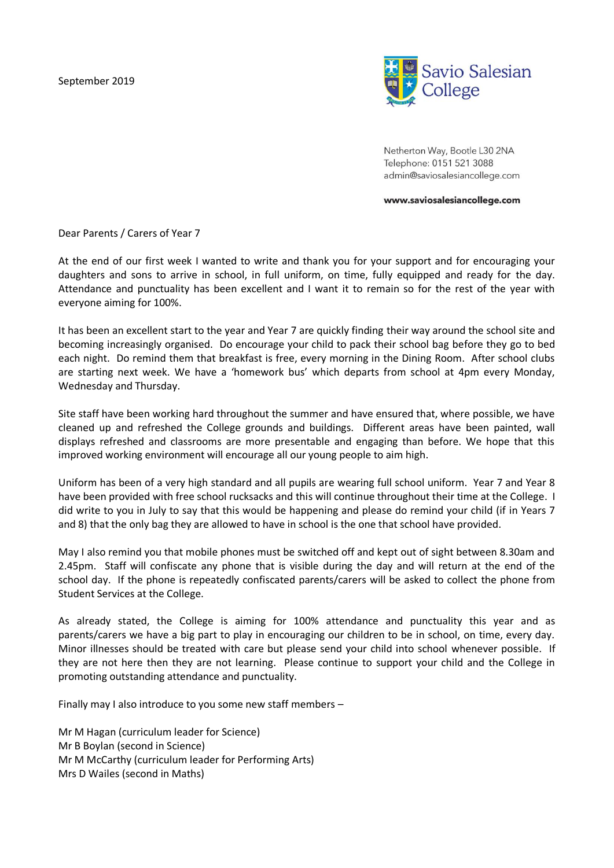

Netherton Way, Bootle L30 2NA Telephone: 0151 521 3088 admin@saviosalesiancollege.com

www.saviosalesiancollege.com

Dear Parents / Carers of Year 7

At the end of our first week I wanted to write and thank you for your support and for encouraging your daughters and sons to arrive in school, in full uniform, on time, fully equipped and ready for the day. Attendance and punctuality has been excellent and I want it to remain so for the rest of the year with everyone aiming for 100%.

It has been an excellent start to the year and Year 7 are quickly finding their way around the school site and becoming increasingly organised. Do encourage your child to pack their school bag before they go to bed each night. Do remind them that breakfast is free, every morning in the Dining Room. After school clubs are starting next week. We have a 'homework bus' which departs from school at 4pm every Monday, Wednesday and Thursday.

Site staff have been working hard throughout the summer and have ensured that, where possible, we have cleaned up and refreshed the College grounds and buildings. Different areas have been painted, wall displays refreshed and classrooms are more presentable and engaging than before. We hope that this improved working environment will encourage all our young people to aim high.

Uniform has been of a very high standard and all pupils are wearing full school uniform. Year 7 and Year 8 have been provided with free school rucksacks and this will continue throughout their time at the College. I did write to you in July to say that this would be happening and please do remind your child (if in Years 7 and 8) that the only bag they are allowed to have in school is the one that school have provided.

May I also remind you that mobile phones must be switched off and kept out of sight between 8.30am and 2.45pm. Staff will confiscate any phone that is visible during the day and will return at the end of the school day. If the phone is repeatedly confiscated parents/carers will be asked to collect the phone from Student Services at the College.

As already stated, the College is aiming for 100% attendance and punctuality this year and as parents/carers we have a big part to play in encouraging our children to be in school, on time, every day. Minor illnesses should be treated with care but please send your child into school whenever possible. If they are not here then they are not learning. Please continue to support your child and the College in promoting outstanding attendance and punctuality.

Finally may I also introduce to you some new staff members –

Mr M Hagan (curriculum leader for Science) Mr B Boylan (second in Science) Mr M McCarthy (curriculum leader for Performing Arts) Mrs D Wailes (second in Maths)